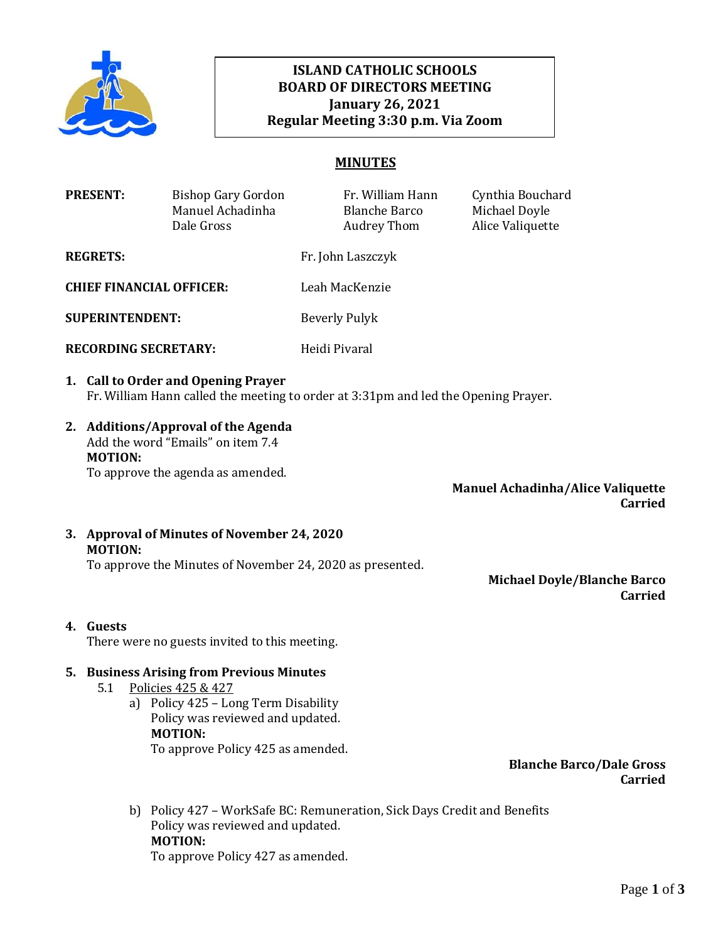

# **ISLAND CATHOLIC SCHOOLS BOARD OF DIRECTORS MEETING January 26, 2021 Regular Meeting 3:30 p.m. Via Zoom**

# **MINUTES**

|                                                            | <b>PRESENT:</b>                                                                                                                                                                               | <b>Bishop Gary Gordon</b><br>Manuel Achadinha<br>Dale Gross                                                                                                                                        |                      | Fr. William Hann<br><b>Blanche Barco</b><br><b>Audrey Thom</b> | Cynthia Bouchard<br>Michael Doyle<br>Alice Valiquette |  |  |
|------------------------------------------------------------|-----------------------------------------------------------------------------------------------------------------------------------------------------------------------------------------------|----------------------------------------------------------------------------------------------------------------------------------------------------------------------------------------------------|----------------------|----------------------------------------------------------------|-------------------------------------------------------|--|--|
| <b>REGRETS:</b>                                            |                                                                                                                                                                                               | Fr. John Laszczyk                                                                                                                                                                                  |                      |                                                                |                                                       |  |  |
| <b>CHIEF FINANCIAL OFFICER:</b>                            |                                                                                                                                                                                               |                                                                                                                                                                                                    | Leah MacKenzie       |                                                                |                                                       |  |  |
| <b>SUPERINTENDENT:</b>                                     |                                                                                                                                                                                               |                                                                                                                                                                                                    | <b>Beverly Pulyk</b> |                                                                |                                                       |  |  |
| <b>RECORDING SECRETARY:</b>                                |                                                                                                                                                                                               |                                                                                                                                                                                                    | Heidi Pivaral        |                                                                |                                                       |  |  |
|                                                            | 1. Call to Order and Opening Prayer<br>Fr. William Hann called the meeting to order at 3:31pm and led the Opening Prayer.                                                                     |                                                                                                                                                                                                    |                      |                                                                |                                                       |  |  |
|                                                            | 2. Additions/Approval of the Agenda<br>Add the word "Emails" on item 7.4<br><b>MOTION:</b><br>To approve the agenda as amended.<br><b>Manuel Achadinha/Alice Valiquette</b><br><b>Carried</b> |                                                                                                                                                                                                    |                      |                                                                |                                                       |  |  |
|                                                            | 3. Approval of Minutes of November 24, 2020<br><b>MOTION:</b>                                                                                                                                 |                                                                                                                                                                                                    |                      |                                                                |                                                       |  |  |
|                                                            |                                                                                                                                                                                               | To approve the Minutes of November 24, 2020 as presented.                                                                                                                                          |                      |                                                                | <b>Michael Doyle/Blanche Barco</b><br><b>Carried</b>  |  |  |
| 4. Guests<br>There were no guests invited to this meeting. |                                                                                                                                                                                               |                                                                                                                                                                                                    |                      |                                                                |                                                       |  |  |
|                                                            | 5.1                                                                                                                                                                                           | 5. Business Arising from Previous Minutes<br>Policies 425 & 427<br>a) Policy 425 - Long Term Disability<br>Policy was reviewed and updated.<br><b>MOTION:</b><br>To approve Policy 425 as amended. |                      |                                                                |                                                       |  |  |

**Blanche Barco/Dale Gross Carried**

b) Policy 427 – WorkSafe BC: Remuneration, Sick Days Credit and Benefits Policy was reviewed and updated. **MOTION:** To approve Policy 427 as amended.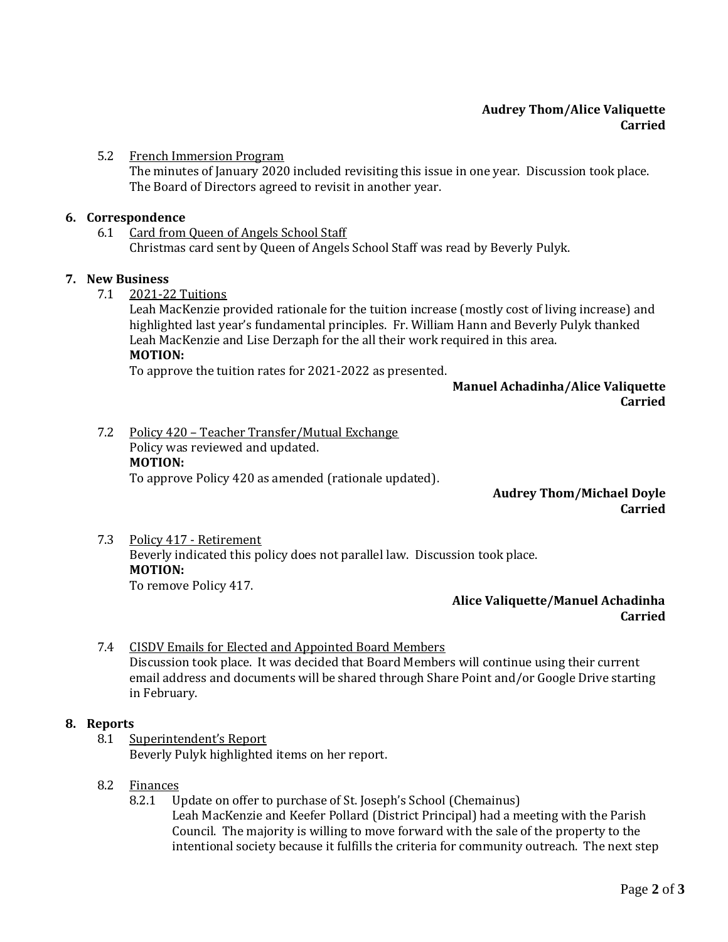## **Audrey Thom/Alice Valiquette Carried**

### 5.2 French Immersion Program

The minutes of January 2020 included revisiting this issue in one year. Discussion took place. The Board of Directors agreed to revisit in another year.

#### **6. Correspondence**

# 6.1 Card from Queen of Angels School Staff

Christmas card sent by Queen of Angels School Staff was read by Beverly Pulyk.

### **7. New Business**

7.1 2021-22 Tuitions

Leah MacKenzie provided rationale for the tuition increase (mostly cost of living increase) and highlighted last year's fundamental principles. Fr. William Hann and Beverly Pulyk thanked Leah MacKenzie and Lise Derzaph for the all their work required in this area. **MOTION:**

To approve the tuition rates for 2021-2022 as presented.

## **Manuel Achadinha/Alice Valiquette Carried**

7.2 Policy 420 – Teacher Transfer/Mutual Exchange Policy was reviewed and updated. **MOTION:** To approve Policy 420 as amended (rationale updated).

## **Audrey Thom/Michael Doyle Carried**

### 7.3 Policy 417 - Retirement Beverly indicated this policy does not parallel law. Discussion took place. **MOTION:** To remove Policy 417.

## **Alice Valiquette/Manuel Achadinha Carried**

## 7.4 CISDV Emails for Elected and Appointed Board Members Discussion took place. It was decided that Board Members will continue using their current email address and documents will be shared through Share Point and/or Google Drive starting in February.

## **8. Reports**

8.1 Superintendent's Report Beverly Pulyk highlighted items on her report.

## 8.2 Finances

8.2.1 Update on offer to purchase of St. Joseph's School (Chemainus) Leah MacKenzie and Keefer Pollard (District Principal) had a meeting with the Parish Council. The majority is willing to move forward with the sale of the property to the intentional society because it fulfills the criteria for community outreach. The next step